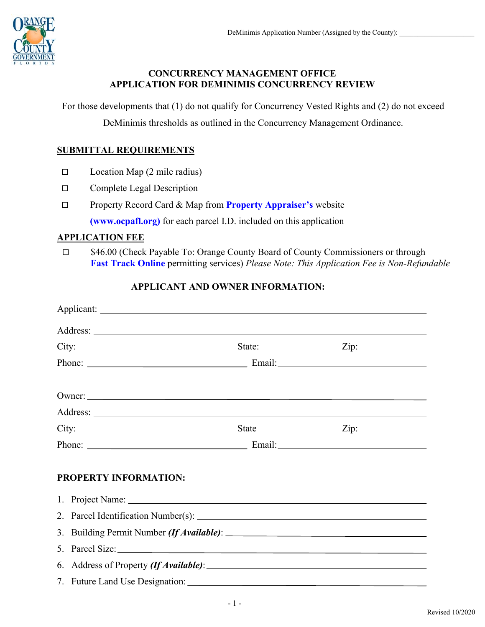

# **CONCURRENCY MANAGEMENT OFFICE APPLICATION FOR DEMINIMIS CONCURRENCY REVIEW**

For those developments that (1) do not qualify for Concurrency Vested Rights and (2) do not exceed

DeMinimis thresholds as outlined in the Concurrency Management Ordinance.

# **SUBMITTAL REQUIREMENTS**

- $\square$  Location Map (2 mile radius)
- □ Complete Legal Description
- Property Record Card & Map from **[Property Appraiser's](https://www.ocpafl.org/searches/parcelsearch.aspx)** website

**[\(www.ocpafl.org\)](www.ocpafl.org)** for each parcel I.D. included on this application

#### **APPLICATION FEE**

□ \$46.00 (Check Payable To: Orange County Board of County Commissioners or through **[Fast Track Online](https://fasttrack.ocfl.net/OnlineServices/)** permitting services) *Please Note: This Application Fee is Non-Refundable*

# **APPLICANT AND OWNER INFORMATION:**

|                              | $City:$ $Zip:$ $Zip:$ |  |  |  |  |  |
|------------------------------|-----------------------|--|--|--|--|--|
|                              |                       |  |  |  |  |  |
|                              |                       |  |  |  |  |  |
|                              | Owner:                |  |  |  |  |  |
|                              |                       |  |  |  |  |  |
| $City:$ $Zip:$               |                       |  |  |  |  |  |
|                              |                       |  |  |  |  |  |
|                              |                       |  |  |  |  |  |
| <b>PROPERTY INFORMATION:</b> |                       |  |  |  |  |  |
|                              |                       |  |  |  |  |  |
|                              |                       |  |  |  |  |  |
|                              |                       |  |  |  |  |  |
|                              | 5. Parcel Size:       |  |  |  |  |  |
|                              |                       |  |  |  |  |  |
|                              |                       |  |  |  |  |  |